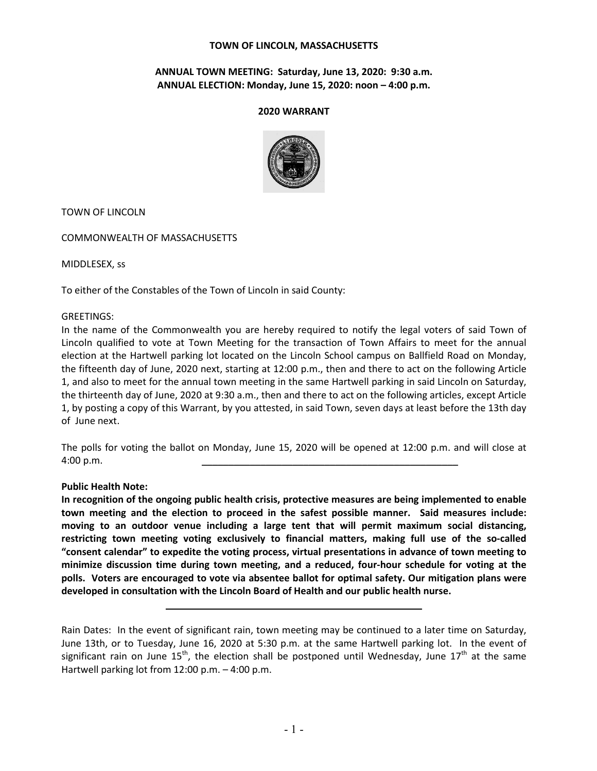#### **TOWN OF LINCOLN, MASSACHUSETTS**

## **ANNUAL TOWN MEETING: Saturday, June 13, 2020: 9:30 a.m. ANNUAL ELECTION: Monday, June 15, 2020: noon – 4:00 p.m.**

#### **2020 WARRANT**



TOWN OF LINCOLN

COMMONWEALTH OF MASSACHUSETTS

MIDDLESEX, ss

To either of the Constables of the Town of Lincoln in said County:

#### GREETINGS:

In the name of the Commonwealth you are hereby required to notify the legal voters of said Town of Lincoln qualified to vote at Town Meeting for the transaction of Town Affairs to meet for the annual election at the Hartwell parking lot located on the Lincoln School campus on Ballfield Road on Monday, the fifteenth day of June, 2020 next, starting at 12:00 p.m., then and there to act on the following Article 1, and also to meet for the annual town meeting in the same Hartwell parking in said Lincoln on Saturday, the thirteenth day of June, 2020 at 9:30 a.m., then and there to act on the following articles, except Article 1, by posting a copy of this Warrant, by you attested, in said Town, seven days at least before the 13th day of June next.

The polls for voting the ballot on Monday, June 15, 2020 will be opened at 12:00 p.m. and will close at 4:00 p.m. \_\_\_\_\_\_\_\_\_\_\_\_\_\_\_\_\_\_\_\_\_\_\_\_\_\_\_\_\_\_\_\_\_\_\_\_\_\_\_\_\_\_\_\_\_\_\_\_

#### **Public Health Note:**

**In recognition of the ongoing public health crisis, protective measures are being implemented to enable town meeting and the election to proceed in the safest possible manner. Said measures include: moving to an outdoor venue including a large tent that will permit maximum social distancing, restricting town meeting voting exclusively to financial matters, making full use of the so-called "consent calendar" to expedite the voting process, virtual presentations in advance of town meeting to minimize discussion time during town meeting, and a reduced, four-hour schedule for voting at the polls. Voters are encouraged to vote via absentee ballot for optimal safety. Our mitigation plans were developed in consultation with the Lincoln Board of Health and our public health nurse.**

\_\_\_\_\_\_\_\_\_\_\_\_\_\_\_\_\_\_\_\_\_\_\_\_\_\_\_\_\_\_\_\_\_\_\_\_\_\_\_\_\_\_\_\_\_\_\_\_

Rain Dates: In the event of significant rain, town meeting may be continued to a later time on Saturday, June 13th, or to Tuesday, June 16, 2020 at 5:30 p.m. at the same Hartwell parking lot. In the event of significant rain on June  $15<sup>th</sup>$ , the election shall be postponed until Wednesday, June  $17<sup>th</sup>$  at the same Hartwell parking lot from 12:00 p.m. – 4:00 p.m.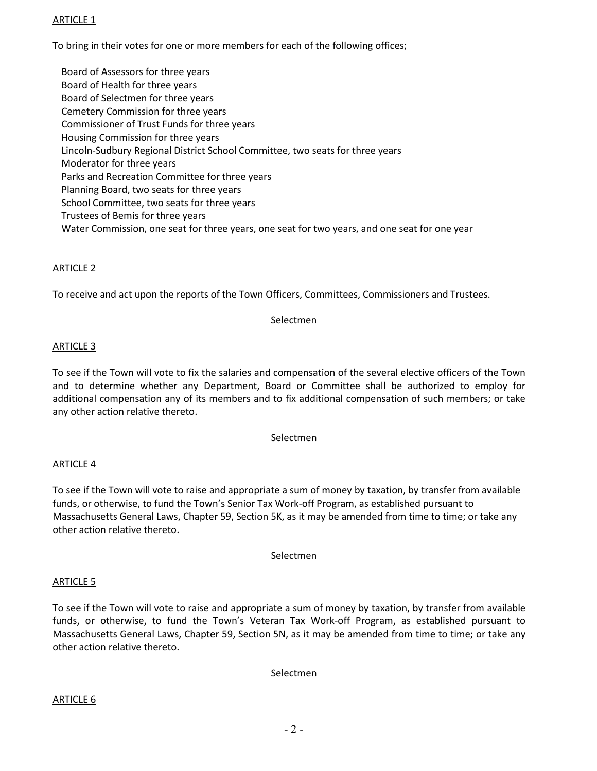# ARTICLE 1

To bring in their votes for one or more members for each of the following offices;

Board of Assessors for three years Board of Health for three years Board of Selectmen for three years Cemetery Commission for three years Commissioner of Trust Funds for three years Housing Commission for three years Lincoln-Sudbury Regional District School Committee, two seats for three years Moderator for three years Parks and Recreation Committee for three years Planning Board, two seats for three years School Committee, two seats for three years Trustees of Bemis for three years Water Commission, one seat for three years, one seat for two years, and one seat for one year

# ARTICLE 2

To receive and act upon the reports of the Town Officers, Committees, Commissioners and Trustees.

#### Selectmen

## ARTICLE 3

To see if the Town will vote to fix the salaries and compensation of the several elective officers of the Town and to determine whether any Department, Board or Committee shall be authorized to employ for additional compensation any of its members and to fix additional compensation of such members; or take any other action relative thereto.

#### Selectmen

## ARTICLE 4

To see if the Town will vote to raise and appropriate a sum of money by taxation, by transfer from available funds, or otherwise, to fund the Town's Senior Tax Work-off Program, as established pursuant to Massachusetts General Laws, Chapter 59, Section 5K, as it may be amended from time to time; or take any other action relative thereto.

Selectmen

## ARTICLE 5

To see if the Town will vote to raise and appropriate a sum of money by taxation, by transfer from available funds, or otherwise, to fund the Town's Veteran Tax Work-off Program, as established pursuant to Massachusetts General Laws, Chapter 59, Section 5N, as it may be amended from time to time; or take any other action relative thereto.

Selectmen

## ARTICLE 6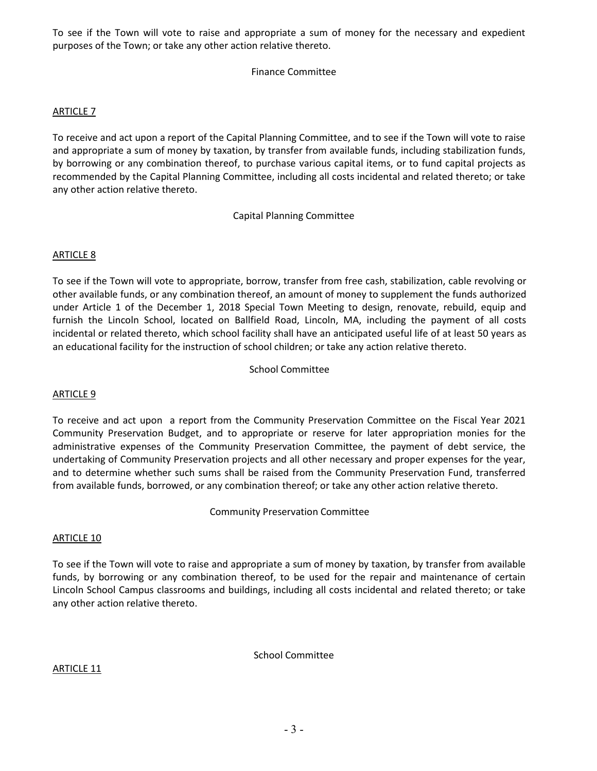To see if the Town will vote to raise and appropriate a sum of money for the necessary and expedient purposes of the Town; or take any other action relative thereto.

# Finance Committee

## ARTICLE 7

To receive and act upon a report of the Capital Planning Committee, and to see if the Town will vote to raise and appropriate a sum of money by taxation, by transfer from available funds, including stabilization funds, by borrowing or any combination thereof, to purchase various capital items, or to fund capital projects as recommended by the Capital Planning Committee, including all costs incidental and related thereto; or take any other action relative thereto.

## Capital Planning Committee

# ARTICLE 8

To see if the Town will vote to appropriate, borrow, transfer from free cash, stabilization, cable revolving or other available funds, or any combination thereof, an amount of money to supplement the funds authorized under Article 1 of the December 1, 2018 Special Town Meeting to design, renovate, rebuild, equip and furnish the Lincoln School, located on Ballfield Road, Lincoln, MA, including the payment of all costs incidental or related thereto, which school facility shall have an anticipated useful life of at least 50 years as an educational facility for the instruction of school children; or take any action relative thereto.

## School Committee

## ARTICLE 9

To receive and act upon a report from the Community Preservation Committee on the Fiscal Year 2021 Community Preservation Budget, and to appropriate or reserve for later appropriation monies for the administrative expenses of the Community Preservation Committee, the payment of debt service, the undertaking of Community Preservation projects and all other necessary and proper expenses for the year, and to determine whether such sums shall be raised from the Community Preservation Fund, transferred from available funds, borrowed, or any combination thereof; or take any other action relative thereto.

Community Preservation Committee

## ARTICLE 10

To see if the Town will vote to raise and appropriate a sum of money by taxation, by transfer from available funds, by borrowing or any combination thereof, to be used for the repair and maintenance of certain Lincoln School Campus classrooms and buildings, including all costs incidental and related thereto; or take any other action relative thereto.

School Committee

ARTICLE 11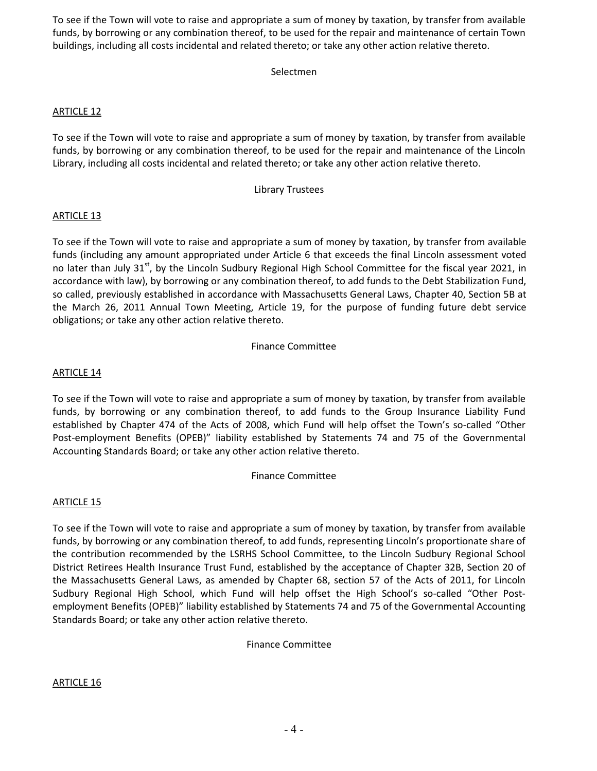To see if the Town will vote to raise and appropriate a sum of money by taxation, by transfer from available funds, by borrowing or any combination thereof, to be used for the repair and maintenance of certain Town buildings, including all costs incidental and related thereto; or take any other action relative thereto.

# Selectmen

# ARTICLE 12

To see if the Town will vote to raise and appropriate a sum of money by taxation, by transfer from available funds, by borrowing or any combination thereof, to be used for the repair and maintenance of the Lincoln Library, including all costs incidental and related thereto; or take any other action relative thereto.

## Library Trustees

## ARTICLE 13

To see if the Town will vote to raise and appropriate a sum of money by taxation, by transfer from available funds (including any amount appropriated under Article 6 that exceeds the final Lincoln assessment voted no later than July 31<sup>st</sup>, by the Lincoln Sudbury Regional High School Committee for the fiscal year 2021, in accordance with law), by borrowing or any combination thereof, to add funds to the Debt Stabilization Fund, so called, previously established in accordance with Massachusetts General Laws, Chapter 40, Section 5B at the March 26, 2011 Annual Town Meeting, Article 19, for the purpose of funding future debt service obligations; or take any other action relative thereto.

#### Finance Committee

## ARTICLE 14

To see if the Town will vote to raise and appropriate a sum of money by taxation, by transfer from available funds, by borrowing or any combination thereof, to add funds to the Group Insurance Liability Fund established by Chapter 474 of the Acts of 2008, which Fund will help offset the Town's so-called "Other Post-employment Benefits (OPEB)" liability established by Statements 74 and 75 of the Governmental Accounting Standards Board; or take any other action relative thereto.

## Finance Committee

## ARTICLE 15

To see if the Town will vote to raise and appropriate a sum of money by taxation, by transfer from available funds, by borrowing or any combination thereof, to add funds, representing Lincoln's proportionate share of the contribution recommended by the LSRHS School Committee, to the Lincoln Sudbury Regional School District Retirees Health Insurance Trust Fund, established by the acceptance of Chapter 32B, Section 20 of the Massachusetts General Laws, as amended by Chapter 68, section 57 of the Acts of 2011, for Lincoln Sudbury Regional High School, which Fund will help offset the High School's so-called "Other Postemployment Benefits (OPEB)" liability established by Statements 74 and 75 of the Governmental Accounting Standards Board; or take any other action relative thereto.

Finance Committee

## ARTICLE 16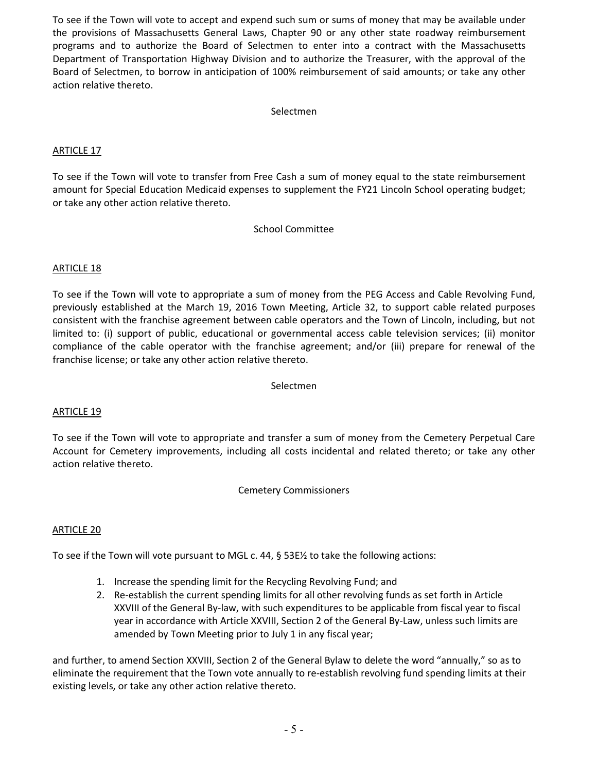To see if the Town will vote to accept and expend such sum or sums of money that may be available under the provisions of Massachusetts General Laws, Chapter 90 or any other state roadway reimbursement programs and to authorize the Board of Selectmen to enter into a contract with the Massachusetts Department of Transportation Highway Division and to authorize the Treasurer, with the approval of the Board of Selectmen, to borrow in anticipation of 100% reimbursement of said amounts; or take any other action relative thereto.

### Selectmen

## ARTICLE 17

To see if the Town will vote to transfer from Free Cash a sum of money equal to the state reimbursement amount for Special Education Medicaid expenses to supplement the FY21 Lincoln School operating budget; or take any other action relative thereto.

#### School Committee

# ARTICLE 18

To see if the Town will vote to appropriate a sum of money from the PEG Access and Cable Revolving Fund, previously established at the March 19, 2016 Town Meeting, Article 32, to support cable related purposes consistent with the franchise agreement between cable operators and the Town of Lincoln, including, but not limited to: (i) support of public, educational or governmental access cable television services; (ii) monitor compliance of the cable operator with the franchise agreement; and/or (iii) prepare for renewal of the franchise license; or take any other action relative thereto.

Selectmen

## ARTICLE 19

To see if the Town will vote to appropriate and transfer a sum of money from the Cemetery Perpetual Care Account for Cemetery improvements, including all costs incidental and related thereto; or take any other action relative thereto.

Cemetery Commissioners

## ARTICLE 20

To see if the Town will vote pursuant to MGL c. 44, § 53E½ to take the following actions:

- 1. Increase the spending limit for the Recycling Revolving Fund; and
- 2. Re-establish the current spending limits for all other revolving funds as set forth in Article XXVIII of the General By-law, with such expenditures to be applicable from fiscal year to fiscal year in accordance with Article XXVIII, Section 2 of the General By-Law, unless such limits are amended by Town Meeting prior to July 1 in any fiscal year;

and further, to amend Section XXVIII, Section 2 of the General Bylaw to delete the word "annually," so as to eliminate the requirement that the Town vote annually to re-establish revolving fund spending limits at their existing levels, or take any other action relative thereto.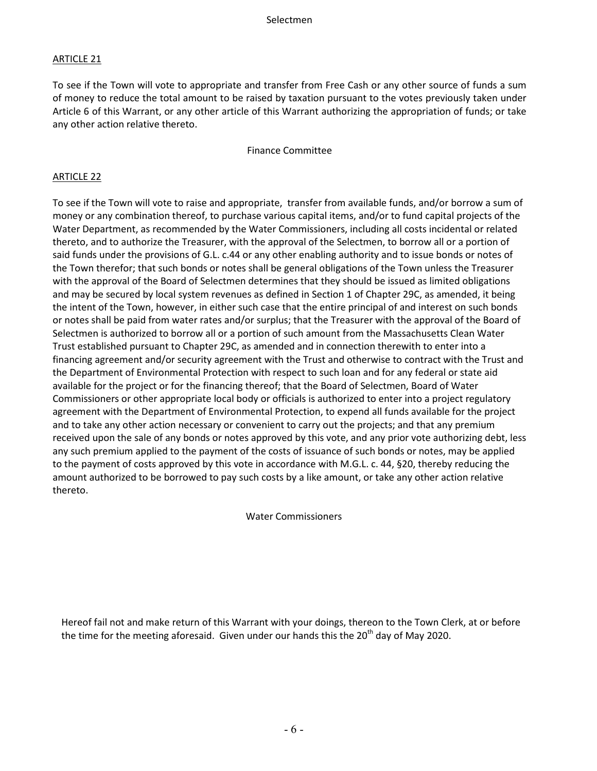# ARTICLE 21

To see if the Town will vote to appropriate and transfer from Free Cash or any other source of funds a sum of money to reduce the total amount to be raised by taxation pursuant to the votes previously taken under Article 6 of this Warrant, or any other article of this Warrant authorizing the appropriation of funds; or take any other action relative thereto.

Finance Committee

## ARTICLE 22

To see if the Town will vote to raise and appropriate, transfer from available funds, and/or borrow a sum of money or any combination thereof, to purchase various capital items, and/or to fund capital projects of the Water Department, as recommended by the Water Commissioners, including all costs incidental or related thereto, and to authorize the Treasurer, with the approval of the Selectmen, to borrow all or a portion of said funds under the provisions of G.L. c.44 or any other enabling authority and to issue bonds or notes of the Town therefor; that such bonds or notes shall be general obligations of the Town unless the Treasurer with the approval of the Board of Selectmen determines that they should be issued as limited obligations and may be secured by local system revenues as defined in Section 1 of Chapter 29C, as amended, it being the intent of the Town, however, in either such case that the entire principal of and interest on such bonds or notes shall be paid from water rates and/or surplus; that the Treasurer with the approval of the Board of Selectmen is authorized to borrow all or a portion of such amount from the Massachusetts Clean Water Trust established pursuant to Chapter 29C, as amended and in connection therewith to enter into a financing agreement and/or security agreement with the Trust and otherwise to contract with the Trust and the Department of Environmental Protection with respect to such loan and for any federal or state aid available for the project or for the financing thereof; that the Board of Selectmen, Board of Water Commissioners or other appropriate local body or officials is authorized to enter into a project regulatory agreement with the Department of Environmental Protection, to expend all funds available for the project and to take any other action necessary or convenient to carry out the projects; and that any premium received upon the sale of any bonds or notes approved by this vote, and any prior vote authorizing debt, less any such premium applied to the payment of the costs of issuance of such bonds or notes, may be applied to the payment of costs approved by this vote in accordance with M.G.L. c. 44, §20, thereby reducing the amount authorized to be borrowed to pay such costs by a like amount, or take any other action relative thereto.

Water Commissioners

Hereof fail not and make return of this Warrant with your doings, thereon to the Town Clerk, at or before the time for the meeting aforesaid. Given under our hands this the  $20<sup>th</sup>$  day of May 2020.